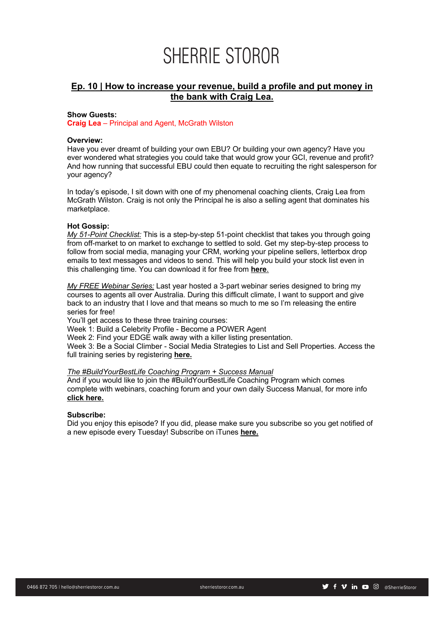# **Ep. 10 | How to increase your revenue, build a profile and put money in the bank with Craig Lea.**

# **Show Guests:**

**Craig Lea** – Principal and Agent, McGrath Wilston

# **Overview:**

Have you ever dreamt of building your own EBU? Or building your own agency? Have you ever wondered what strategies you could take that would grow your GCI, revenue and profit? And how running that successful EBU could then equate to recruiting the right salesperson for your agency?

In today's episode, I sit down with one of my phenomenal coaching clients, Craig Lea from McGrath Wilston. Craig is not only the Principal he is also a selling agent that dominates his marketplace.

# **Hot Gossip:**

*My 51-Point Checklist:* This is a step-by-step 51-point checklist that takes you through going from off-market to on market to exchange to settled to sold. Get my step-by-step process to follow from social media, managing your CRM, working your pipeline sellers, letterbox drop emails to text messages and videos to send. This will help you build your stock list even in this challenging time. You can download it for free from **here**.

*My FREE Webinar Series:* Last year hosted a 3-part webinar series designed to bring my courses to agents all over Australia. During this difficult climate, I want to support and give back to an industry that I love and that means so much to me so I'm releasing the entire series for free!

You'll get access to these three training courses:

Week 1: Build a Celebrity Profile - Become a POWER Agent

Week 2: Find your EDGE walk away with a killer listing presentation.

Week 3: Be a Social Climber - Social Media Strategies to List and Sell Properties. Access the full training series by registering **here.**

# *The #BuildYourBestLife Coaching Program + Success Manual*

And if you would like to join the #BuildYourBestLife Coaching Program which comes complete with webinars, coaching forum and your own daily Success Manual, for more info **click here.**

# **Subscribe:**

Did you enjoy this episode? If you did, please make sure you subscribe so you get notified of a new episode every Tuesday! Subscribe on iTunes **here.**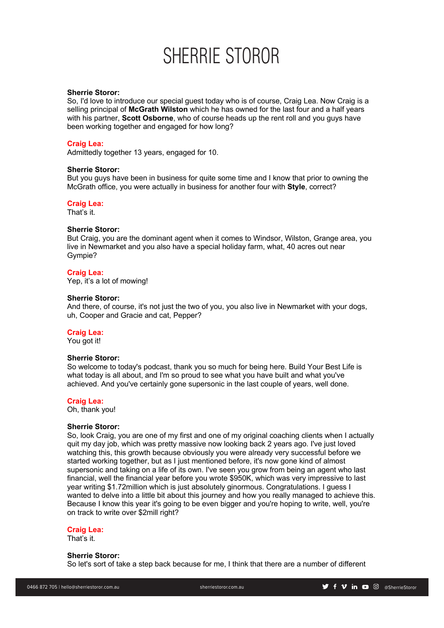# **Sherrie Storor:**

So, I'd love to introduce our special guest today who is of course, Craig Lea. Now Craig is a selling principal of **McGrath Wilston** which he has owned for the last four and a half years with his partner, **Scott Osborne**, who of course heads up the rent roll and you guys have been working together and engaged for how long?

#### **Craig Lea:**

Admittedly together 13 years, engaged for 10.

#### **Sherrie Storor:**

But you guys have been in business for quite some time and I know that prior to owning the McGrath office, you were actually in business for another four with **Style**, correct?

# **Craig Lea:**

That's it.

# **Sherrie Storor:**

But Craig, you are the dominant agent when it comes to Windsor, Wilston, Grange area, you live in Newmarket and you also have a special holiday farm, what, 40 acres out near Gympie?

# **Craig Lea:**

Yep, it's a lot of mowing!

# **Sherrie Storor:**

And there, of course, it's not just the two of you, you also live in Newmarket with your dogs, uh, Cooper and Gracie and cat, Pepper?

# **Craig Lea:**

You got it!

#### **Sherrie Storor:**

So welcome to today's podcast, thank you so much for being here. Build Your Best Life is what today is all about, and I'm so proud to see what you have built and what you've achieved. And you've certainly gone supersonic in the last couple of years, well done.

#### **Craig Lea:**

Oh, thank you!

#### **Sherrie Storor:**

So, look Craig, you are one of my first and one of my original coaching clients when I actually quit my day job, which was pretty massive now looking back 2 years ago. I've just loved watching this, this growth because obviously you were already very successful before we started working together, but as I just mentioned before, it's now gone kind of almost supersonic and taking on a life of its own. I've seen you grow from being an agent who last financial, well the financial year before you wrote \$950K, which was very impressive to last year writing \$1.72million which is just absolutely ginormous. Congratulations. I guess I wanted to delve into a little bit about this journey and how you really managed to achieve this. Because I know this year it's going to be even bigger and you're hoping to write, well, you're on track to write over \$2mill right?

#### **Craig Lea:**

That's it.

#### **Sherrie Storor:**

So let's sort of take a step back because for me, I think that there are a number of different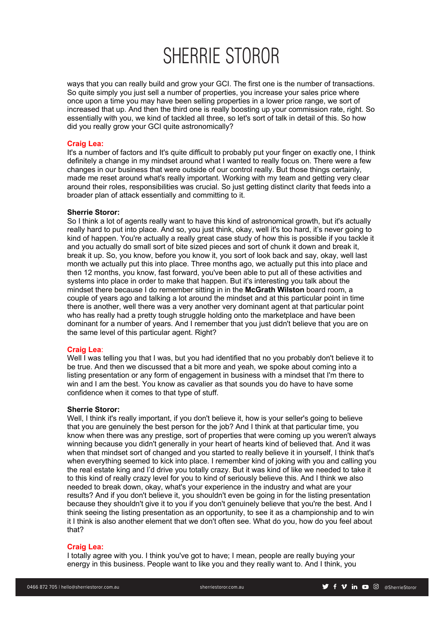ways that you can really build and grow your GCI. The first one is the number of transactions. So quite simply you just sell a number of properties, you increase your sales price where once upon a time you may have been selling properties in a lower price range, we sort of increased that up. And then the third one is really boosting up your commission rate, right. So essentially with you, we kind of tackled all three, so let's sort of talk in detail of this. So how did you really grow your GCI quite astronomically?

# **Craig Lea:**

It's a number of factors and It's quite difficult to probably put your finger on exactly one, I think definitely a change in my mindset around what I wanted to really focus on. There were a few changes in our business that were outside of our control really. But those things certainly, made me reset around what's really important. Working with my team and getting very clear around their roles, responsibilities was crucial. So just getting distinct clarity that feeds into a broader plan of attack essentially and committing to it.

# **Sherrie Storor:**

So I think a lot of agents really want to have this kind of astronomical growth, but it's actually really hard to put into place. And so, you just think, okay, well it's too hard, it's never going to kind of happen. You're actually a really great case study of how this is possible if you tackle it and you actually do small sort of bite sized pieces and sort of chunk it down and break it, break it up. So, you know, before you know it, you sort of look back and say, okay, well last month we actually put this into place. Three months ago, we actually put this into place and then 12 months, you know, fast forward, you've been able to put all of these activities and systems into place in order to make that happen. But it's interesting you talk about the mindset there because I do remember sitting in in the **McGrath Wilston** board room, a couple of years ago and talking a lot around the mindset and at this particular point in time there is another, well there was a very another very dominant agent at that particular point who has really had a pretty tough struggle holding onto the marketplace and have been dominant for a number of years. And I remember that you just didn't believe that you are on the same level of this particular agent. Right?

#### **Craig Lea**:

Well I was telling you that I was, but you had identified that no you probably don't believe it to be true. And then we discussed that a bit more and yeah, we spoke about coming into a listing presentation or any form of engagement in business with a mindset that I'm there to win and I am the best. You know as cavalier as that sounds you do have to have some confidence when it comes to that type of stuff.

#### **Sherrie Storor:**

Well, I think it's really important, if you don't believe it, how is your seller's going to believe that you are genuinely the best person for the job? And I think at that particular time, you know when there was any prestige, sort of properties that were coming up you weren't always winning because you didn't generally in your heart of hearts kind of believed that. And it was when that mindset sort of changed and you started to really believe it in yourself, I think that's when everything seemed to kick into place. I remember kind of joking with you and calling you the real estate king and I'd drive you totally crazy. But it was kind of like we needed to take it to this kind of really crazy level for you to kind of seriously believe this. And I think we also needed to break down, okay, what's your experience in the industry and what are your results? And if you don't believe it, you shouldn't even be going in for the listing presentation because they shouldn't give it to you if you don't genuinely believe that you're the best. And I think seeing the listing presentation as an opportunity, to see it as a championship and to win it I think is also another element that we don't often see. What do you, how do you feel about that?

#### **Craig Lea:**

I totally agree with you. I think you've got to have; I mean, people are really buying your energy in this business. People want to like you and they really want to. And I think, you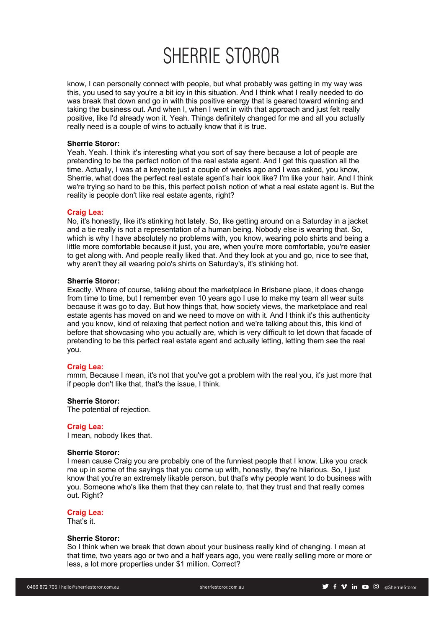know, I can personally connect with people, but what probably was getting in my way was this, you used to say you're a bit icy in this situation. And I think what I really needed to do was break that down and go in with this positive energy that is geared toward winning and taking the business out. And when I, when I went in with that approach and just felt really positive, like I'd already won it. Yeah. Things definitely changed for me and all you actually really need is a couple of wins to actually know that it is true.

# **Sherrie Storor:**

Yeah. Yeah. I think it's interesting what you sort of say there because a lot of people are pretending to be the perfect notion of the real estate agent. And I get this question all the time. Actually, I was at a keynote just a couple of weeks ago and I was asked, you know, Sherrie, what does the perfect real estate agent's hair look like? I'm like your hair. And I think we're trying so hard to be this, this perfect polish notion of what a real estate agent is. But the reality is people don't like real estate agents, right?

#### **Craig Lea:**

No, it's honestly, like it's stinking hot lately. So, like getting around on a Saturday in a jacket and a tie really is not a representation of a human being. Nobody else is wearing that. So, which is why I have absolutely no problems with, you know, wearing polo shirts and being a little more comfortable because it just, you are, when you're more comfortable, you're easier to get along with. And people really liked that. And they look at you and go, nice to see that, why aren't they all wearing polo's shirts on Saturday's, it's stinking hot.

# **Sherrie Storor:**

Exactly. Where of course, talking about the marketplace in Brisbane place, it does change from time to time, but I remember even 10 years ago I use to make my team all wear suits because it was go to day. But how things that, how society views, the marketplace and real estate agents has moved on and we need to move on with it. And I think it's this authenticity and you know, kind of relaxing that perfect notion and we're talking about this, this kind of before that showcasing who you actually are, which is very difficult to let down that facade of pretending to be this perfect real estate agent and actually letting, letting them see the real you.

#### **Craig Lea:**

mmm, Because I mean, it's not that you've got a problem with the real you, it's just more that if people don't like that, that's the issue, I think.

#### **Sherrie Storor:**

The potential of rejection.

#### **Craig Lea:**

I mean, nobody likes that.

# **Sherrie Storor:**

I mean cause Craig you are probably one of the funniest people that I know. Like you crack me up in some of the sayings that you come up with, honestly, they're hilarious. So, I just know that you're an extremely likable person, but that's why people want to do business with you. Someone who's like them that they can relate to, that they trust and that really comes out. Right?

# **Craig Lea:**

That's it.

# **Sherrie Storor:**

So I think when we break that down about your business really kind of changing. I mean at that time, two years ago or two and a half years ago, you were really selling more or more or less, a lot more properties under \$1 million. Correct?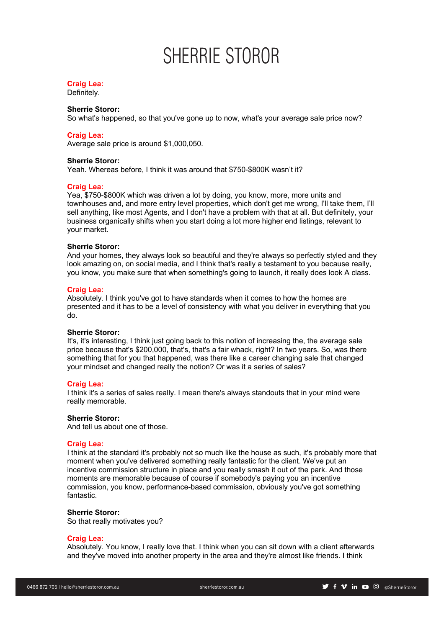# **Craig Lea:**

Definitely.

# **Sherrie Storor:**

So what's happened, so that you've gone up to now, what's your average sale price now?

# **Craig Lea:**

Average sale price is around \$1,000,050.

### **Sherrie Storor:**

Yeah. Whereas before, I think it was around that \$750-\$800K wasn't it?

#### **Craig Lea:**

Yea, \$750-\$800K which was driven a lot by doing, you know, more, more units and townhouses and, and more entry level properties, which don't get me wrong, I'll take them, I'll sell anything, like most Agents, and I don't have a problem with that at all. But definitely, your business organically shifts when you start doing a lot more higher end listings, relevant to your market.

#### **Sherrie Storor:**

And your homes, they always look so beautiful and they're always so perfectly styled and they look amazing on, on social media, and I think that's really a testament to you because really, you know, you make sure that when something's going to launch, it really does look A class.

# **Craig Lea:**

Absolutely. I think you've got to have standards when it comes to how the homes are presented and it has to be a level of consistency with what you deliver in everything that you do.

# **Sherrie Storor:**

It's, it's interesting, I think just going back to this notion of increasing the, the average sale price because that's \$200,000, that's, that's a fair whack, right? In two years. So, was there something that for you that happened, was there like a career changing sale that changed your mindset and changed really the notion? Or was it a series of sales?

#### **Craig Lea:**

I think it's a series of sales really. I mean there's always standouts that in your mind were really memorable.

#### **Sherrie Storor:**

And tell us about one of those.

# **Craig Lea:**

I think at the standard it's probably not so much like the house as such, it's probably more that moment when you've delivered something really fantastic for the client. We've put an incentive commission structure in place and you really smash it out of the park. And those moments are memorable because of course if somebody's paying you an incentive commission, you know, performance-based commission, obviously you've got something fantastic.

# **Sherrie Storor:**

So that really motivates you?

# **Craig Lea:**

Absolutely. You know, I really love that. I think when you can sit down with a client afterwards and they've moved into another property in the area and they're almost like friends. I think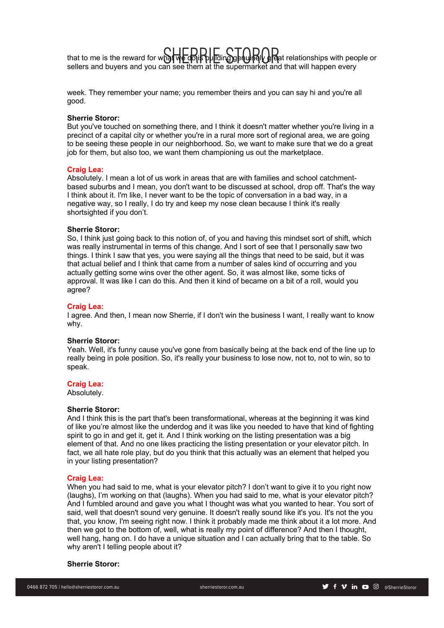that to me is the reward for what  $\mathbb{C}$  is building genuinely great relationships with people or that to me is the reward for what we do is building genuinely great relationships with people or sellers and buyers and you can see them at the supermarket and that will happen every

week. They remember your name; you remember theirs and you can say hi and you're all good.

#### **Sherrie Storor:**

But you've touched on something there, and I think it doesn't matter whether you're living in a precinct of a capital city or whether you're in a rural more sort of regional area, we are going to be seeing these people in our neighborhood. So, we want to make sure that we do a great job for them, but also too, we want them championing us out the marketplace.

#### **Craig Lea:**

Absolutely. I mean a lot of us work in areas that are with families and school catchmentbased suburbs and I mean, you don't want to be discussed at school, drop off. That's the way I think about it. I'm like, I never want to be the topic of conversation in a bad way, in a negative way, so I really, I do try and keep my nose clean because I think it's really shortsighted if you don't.

# **Sherrie Storor:**

So, I think just going back to this notion of, of you and having this mindset sort of shift, which was really instrumental in terms of this change. And I sort of see that I personally saw two things. I think I saw that yes, you were saying all the things that need to be said, but it was that actual belief and I think that came from a number of sales kind of occurring and you actually getting some wins over the other agent. So, it was almost like, some ticks of approval. It was like I can do this. And then it kind of became on a bit of a roll, would you agree?

#### **Craig Lea:**

I agree. And then, I mean now Sherrie, if I don't win the business I want, I really want to know why.

#### **Sherrie Storor:**

Yeah. Well, it's funny cause you've gone from basically being at the back end of the line up to really being in pole position. So, it's really your business to lose now, not to, not to win, so to speak.

#### **Craig Lea:**

Absolutely.

# **Sherrie Storor:**

And I think this is the part that's been transformational, whereas at the beginning it was kind of like you're almost like the underdog and it was like you needed to have that kind of fighting spirit to go in and get it, get it. And I think working on the listing presentation was a big element of that. And no one likes practicing the listing presentation or your elevator pitch. In fact, we all hate role play, but do you think that this actually was an element that helped you in your listing presentation?

#### **Craig Lea:**

When you had said to me, what is your elevator pitch? I don't want to give it to you right now (laughs), I'm working on that (laughs). When you had said to me, what is your elevator pitch? And I fumbled around and gave you what I thought was what you wanted to hear. You sort of said, well that doesn't sound very genuine. It doesn't really sound like it's you. It's not the you that, you know, I'm seeing right now. I think it probably made me think about it a lot more. And then we got to the bottom of, well, what is really my point of difference? And then I thought, well hang, hang on. I do have a unique situation and I can actually bring that to the table. So why aren't I telling people about it?

# **Sherrie Storor:**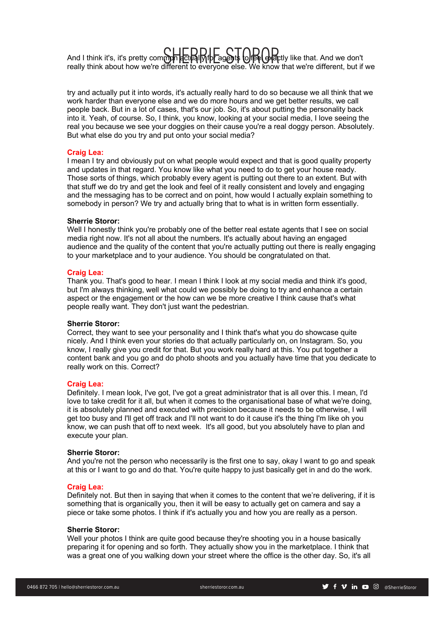SHERRIE STOROGO And I think it's, it's pretty common actually for agents to feel (SIP)<br>Show that about how we're different to everyone else. We know that we're different, but if really think about how we're different to everyone else. We know that we're different, but if we

try and actually put it into words, it's actually really hard to do so because we all think that we work harder than everyone else and we do more hours and we get better results, we call people back. But in a lot of cases, that's our job. So, it's about putting the personality back into it. Yeah, of course. So, I think, you know, looking at your social media, I love seeing the real you because we see your doggies on their cause you're a real doggy person. Absolutely. But what else do you try and put onto your social media?

# **Craig Lea:**

I mean I try and obviously put on what people would expect and that is good quality property and updates in that regard. You know like what you need to do to get your house ready. Those sorts of things, which probably every agent is putting out there to an extent. But with that stuff we do try and get the look and feel of it really consistent and lovely and engaging and the messaging has to be correct and on point, how would I actually explain something to somebody in person? We try and actually bring that to what is in written form essentially.

# **Sherrie Storor:**

Well I honestly think you're probably one of the better real estate agents that I see on social media right now. It's not all about the numbers. It's actually about having an engaged audience and the quality of the content that you're actually putting out there is really engaging to your marketplace and to your audience. You should be congratulated on that.

# **Craig Lea:**

Thank you. That's good to hear. I mean I think I look at my social media and think it's good, but I'm always thinking, well what could we possibly be doing to try and enhance a certain aspect or the engagement or the how can we be more creative I think cause that's what people really want. They don't just want the pedestrian.

#### **Sherrie Storor:**

Correct, they want to see your personality and I think that's what you do showcase quite nicely. And I think even your stories do that actually particularly on, on Instagram. So, you know, I really give you credit for that. But you work really hard at this. You put together a content bank and you go and do photo shoots and you actually have time that you dedicate to really work on this. Correct?

#### **Craig Lea:**

Definitely. I mean look, I've got, I've got a great administrator that is all over this. I mean, I'd love to take credit for it all, but when it comes to the organisational base of what we're doing, it is absolutely planned and executed with precision because it needs to be otherwise, I will get too busy and I'll get off track and I'll not want to do it cause it's the thing I'm like oh you know, we can push that off to next week. It's all good, but you absolutely have to plan and execute your plan.

#### **Sherrie Storor:**

And you're not the person who necessarily is the first one to say, okay I want to go and speak at this or I want to go and do that. You're quite happy to just basically get in and do the work.

#### **Craig Lea:**

Definitely not. But then in saying that when it comes to the content that we're delivering, if it is something that is organically you, then it will be easy to actually get on camera and say a piece or take some photos. I think if it's actually you and how you are really as a person.

# **Sherrie Storor:**

Well your photos I think are quite good because they're shooting you in a house basically preparing it for opening and so forth. They actually show you in the marketplace. I think that was a great one of you walking down your street where the office is the other day. So, it's all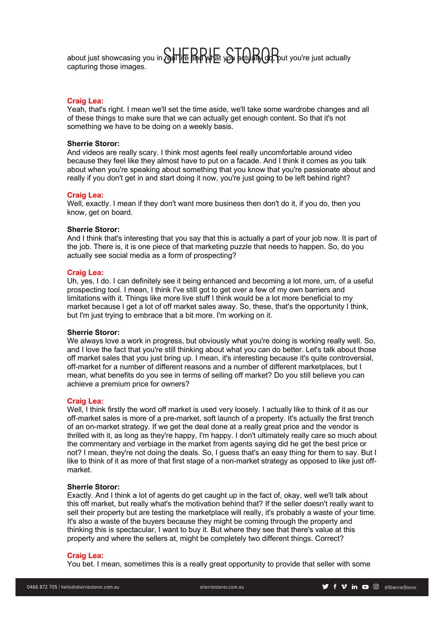about just showcasing you in real LIDDIL S LODOD.<br>capturing those images capturing those images.

# **Craig Lea:**

Yeah, that's right. I mean we'll set the time aside, we'll take some wardrobe changes and all of these things to make sure that we can actually get enough content. So that it's not something we have to be doing on a weekly basis.

# **Sherrie Storor:**

And videos are really scary. I think most agents feel really uncomfortable around video because they feel like they almost have to put on a facade. And I think it comes as you talk about when you're speaking about something that you know that you're passionate about and really if you don't get in and start doing it now, you're just going to be left behind right?

#### **Craig Lea:**

Well, exactly. I mean if they don't want more business then don't do it, if you do, then you know, get on board.

#### **Sherrie Storor:**

And I think that's interesting that you say that this is actually a part of your job now. It is part of the job. There is, it is one piece of that marketing puzzle that needs to happen. So, do you actually see social media as a form of prospecting?

# **Craig Lea:**

Uh, yes, I do. I can definitely see it being enhanced and becoming a lot more, um, of a useful prospecting tool. I mean, I think I've still got to get over a few of my own barriers and limitations with it. Things like more live stuff I think would be a lot more beneficial to my market because I get a lot of off market sales away. So, these, that's the opportunity I think, but I'm just trying to embrace that a bit more. I'm working on it.

#### **Sherrie Storor:**

We always love a work in progress, but obviously what you're doing is working really well. So, and I love the fact that you're still thinking about what you can do better. Let's talk about those off market sales that you just bring up. I mean, it's interesting because it's quite controversial, off-market for a number of different reasons and a number of different marketplaces, but I mean, what benefits do you see in terms of selling off market? Do you still believe you can achieve a premium price for owners?

#### **Craig Lea:**

Well, I think firstly the word off market is used very loosely. I actually like to think of it as our off-market sales is more of a pre-market, soft launch of a property. It's actually the first trench of an on-market strategy. If we get the deal done at a really great price and the vendor is thrilled with it, as long as they're happy, I'm happy. I don't ultimately really care so much about the commentary and verbiage in the market from agents saying did he get the best price or not? I mean, they're not doing the deals. So, I guess that's an easy thing for them to say. But I like to think of it as more of that first stage of a non-market strategy as opposed to like just offmarket.

### **Sherrie Storor:**

Exactly. And I think a lot of agents do get caught up in the fact of, okay, well we'll talk about this off market, but really what's the motivation behind that? If the seller doesn't really want to sell their property but are testing the marketplace will really, it's probably a waste of your time. It's also a waste of the buyers because they might be coming through the property and thinking this is spectacular, I want to buy it. But where they see that there's value at this property and where the sellers at, might be completely two different things. Correct?

# **Craig Lea:**

You bet. I mean, sometimes this is a really great opportunity to provide that seller with some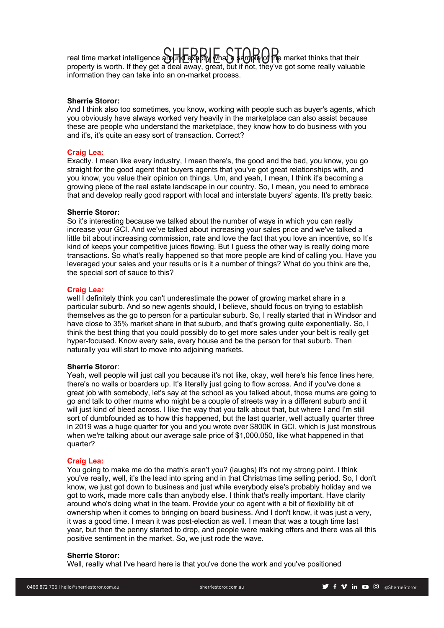real time market intelligence around exactly what a sample of the market thinks that their<br>property is worth. If they get a deal away, great, but if not, they've get some really valuable property is worth. If they get a deal away, great, but if not, they've got some really valuable information they can take into an on-market process.

# **Sherrie Storor:**

And I think also too sometimes, you know, working with people such as buyer's agents, which you obviously have always worked very heavily in the marketplace can also assist because these are people who understand the marketplace, they know how to do business with you and it's, it's quite an easy sort of transaction. Correct?

#### **Craig Lea:**

Exactly. I mean like every industry, I mean there's, the good and the bad, you know, you go straight for the good agent that buyers agents that you've got great relationships with, and you know, you value their opinion on things. Um, and yeah, I mean, I think it's becoming a growing piece of the real estate landscape in our country. So, I mean, you need to embrace that and develop really good rapport with local and interstate buyers' agents. It's pretty basic.

# **Sherrie Storor:**

So it's interesting because we talked about the number of ways in which you can really increase your GCI. And we've talked about increasing your sales price and we've talked a little bit about increasing commission, rate and love the fact that you love an incentive, so It's kind of keeps your competitive juices flowing. But I guess the other way is really doing more transactions. So what's really happened so that more people are kind of calling you. Have you leveraged your sales and your results or is it a number of things? What do you think are the, the special sort of sauce to this?

# **Craig Lea:**

well I definitely think you can't underestimate the power of growing market share in a particular suburb. And so new agents should, I believe, should focus on trying to establish themselves as the go to person for a particular suburb. So, I really started that in Windsor and have close to 35% market share in that suburb, and that's growing quite exponentially. So, I think the best thing that you could possibly do to get more sales under your belt is really get hyper-focused. Know every sale, every house and be the person for that suburb. Then naturally you will start to move into adjoining markets.

# **Sherrie Storor**:

Yeah, well people will just call you because it's not like, okay, well here's his fence lines here, there's no walls or boarders up. It's literally just going to flow across. And if you've done a great job with somebody, let's say at the school as you talked about, those mums are going to go and talk to other mums who might be a couple of streets way in a different suburb and it will just kind of bleed across. I like the way that you talk about that, but where I and I'm still sort of dumbfounded as to how this happened, but the last quarter, well actually quarter three in 2019 was a huge quarter for you and you wrote over \$800K in GCI, which is just monstrous when we're talking about our average sale price of \$1,000,050, like what happened in that quarter?

### **Craig Lea:**

You going to make me do the math's aren't you? (laughs) it's not my strong point. I think you've really, well, it's the lead into spring and in that Christmas time selling period. So, I don't know, we just got down to business and just while everybody else's probably holiday and we got to work, made more calls than anybody else. I think that's really important. Have clarity around who's doing what in the team. Provide your co agent with a bit of flexibility bit of ownership when it comes to bringing on board business. And I don't know, it was just a very, it was a good time. I mean it was post-election as well. I mean that was a tough time last year, but then the penny started to drop, and people were making offers and there was all this positive sentiment in the market. So, we just rode the wave.

#### **Sherrie Storor:**

Well, really what I've heard here is that you've done the work and you've positioned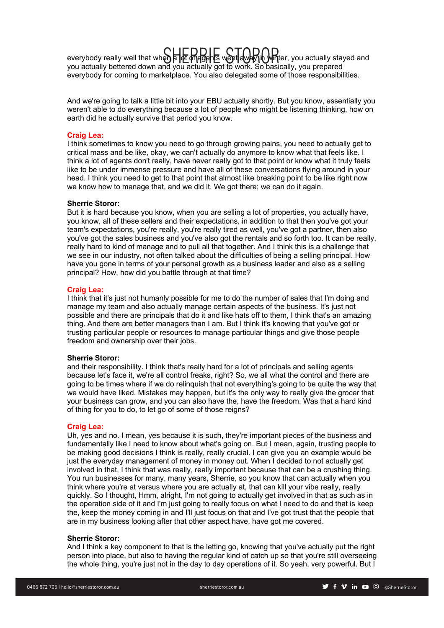everybody really well that when a lot of agents went away in writer, you actually stayed and<br>you actually bettered down and you actually got to work. So basically, you prepared you actually bettered down and you actually got to work. So basically, you prepared everybody for coming to marketplace. You also delegated some of those responsibilities.

And we're going to talk a little bit into your EBU actually shortly. But you know, essentially you weren't able to do everything because a lot of people who might be listening thinking, how on earth did he actually survive that period you know.

#### **Craig Lea:**

I think sometimes to know you need to go through growing pains, you need to actually get to critical mass and be like, okay, we can't actually do anymore to know what that feels like. I think a lot of agents don't really, have never really got to that point or know what it truly feels like to be under immense pressure and have all of these conversations flying around in your head. I think you need to get to that point that almost like breaking point to be like right now we know how to manage that, and we did it. We got there; we can do it again.

# **Sherrie Storor:**

But it is hard because you know, when you are selling a lot of properties, you actually have, you know, all of these sellers and their expectations, in addition to that then you've got your team's expectations, you're really, you're really tired as well, you've got a partner, then also you've got the sales business and you've also got the rentals and so forth too. It can be really, really hard to kind of manage and to pull all that together. And I think this is a challenge that we see in our industry, not often talked about the difficulties of being a selling principal. How have you gone in terms of your personal growth as a business leader and also as a selling principal? How, how did you battle through at that time?

# **Craig Lea:**

I think that it's just not humanly possible for me to do the number of sales that I'm doing and manage my team and also actually manage certain aspects of the business. It's just not possible and there are principals that do it and like hats off to them, I think that's an amazing thing. And there are better managers than I am. But I think it's knowing that you've got or trusting particular people or resources to manage particular things and give those people freedom and ownership over their jobs.

#### **Sherrie Storor:**

and their responsibility. I think that's really hard for a lot of principals and selling agents because let's face it, we're all control freaks, right? So, we all what the control and there are going to be times where if we do relinquish that not everything's going to be quite the way that we would have liked. Mistakes may happen, but it's the only way to really give the grocer that your business can grow, and you can also have the, have the freedom. Was that a hard kind of thing for you to do, to let go of some of those reigns?

#### **Craig Lea:**

Uh, yes and no. I mean, yes because it is such, they're important pieces of the business and fundamentally like I need to know about what's going on. But I mean, again, trusting people to be making good decisions I think is really, really crucial. I can give you an example would be just the everyday management of money in money out. When I decided to not actually get involved in that, I think that was really, really important because that can be a crushing thing. You run businesses for many, many years, Sherrie, so you know that can actually when you think where you're at versus where you are actually at, that can kill your vibe really, really quickly. So I thought, Hmm, alright, I'm not going to actually get involved in that as such as in the operation side of it and I'm just going to really focus on what I need to do and that is keep the, keep the money coming in and I'll just focus on that and I've got trust that the people that are in my business looking after that other aspect have, have got me covered.

# **Sherrie Storor:**

And I think a key component to that is the letting go, knowing that you've actually put the right person into place, but also to having the regular kind of catch up so that you're still overseeing the whole thing, you're just not in the day to day operations of it. So yeah, very powerful. But I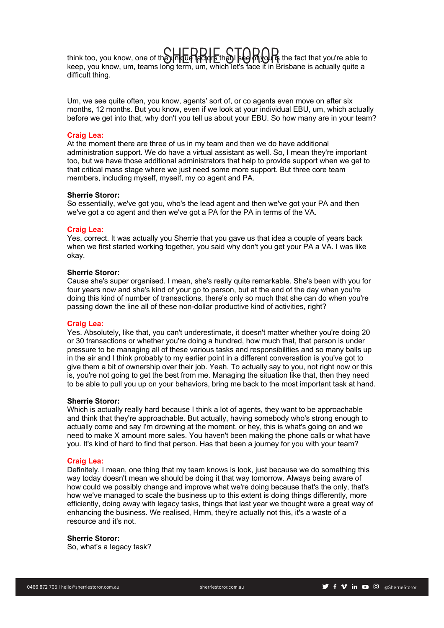$\sup_{\mathbf{f}}$  think too, you know, one of the unique factors that I see on you is the fact that you're able to that if  $\sup_{\mathbf{f}}$  is the fact that you're able to keep, you know, um, teams long term, um, which let's face it in Brisbane is actually quite a difficult thing.

Um, we see quite often, you know, agents' sort of, or co agents even move on after six months, 12 months. But you know, even if we look at your individual EBU, um, which actually before we get into that, why don't you tell us about your EBU. So how many are in your team?

# **Craig Lea:**

At the moment there are three of us in my team and then we do have additional administration support. We do have a virtual assistant as well. So, I mean they're important too, but we have those additional administrators that help to provide support when we get to that critical mass stage where we just need some more support. But three core team members, including myself, myself, my co agent and PA.

# **Sherrie Storor:**

So essentially, we've got you, who's the lead agent and then we've got your PA and then we've got a co agent and then we've got a PA for the PA in terms of the VA.

#### **Craig Lea:**

Yes, correct. It was actually you Sherrie that you gave us that idea a couple of years back when we first started working together, you said why don't you get your PA a VA. I was like okay.

# **Sherrie Storor:**

Cause she's super organised. I mean, she's really quite remarkable. She's been with you for four years now and she's kind of your go to person, but at the end of the day when you're doing this kind of number of transactions, there's only so much that she can do when you're passing down the line all of these non-dollar productive kind of activities, right?

#### **Craig Lea:**

Yes. Absolutely, like that, you can't underestimate, it doesn't matter whether you're doing 20 or 30 transactions or whether you're doing a hundred, how much that, that person is under pressure to be managing all of these various tasks and responsibilities and so many balls up in the air and I think probably to my earlier point in a different conversation is you've got to give them a bit of ownership over their job. Yeah. To actually say to you, not right now or this is, you're not going to get the best from me. Managing the situation like that, then they need to be able to pull you up on your behaviors, bring me back to the most important task at hand.

### **Sherrie Storor:**

Which is actually really hard because I think a lot of agents, they want to be approachable and think that they're approachable. But actually, having somebody who's strong enough to actually come and say I'm drowning at the moment, or hey, this is what's going on and we need to make X amount more sales. You haven't been making the phone calls or what have you. It's kind of hard to find that person. Has that been a journey for you with your team?

# **Craig Lea:**

Definitely. I mean, one thing that my team knows is look, just because we do something this way today doesn't mean we should be doing it that way tomorrow. Always being aware of how could we possibly change and improve what we're doing because that's the only, that's how we've managed to scale the business up to this extent is doing things differently, more efficiently, doing away with legacy tasks, things that last year we thought were a great way of enhancing the business. We realised, Hmm, they're actually not this, it's a waste of a resource and it's not.

#### **Sherrie Storor:**

So, what's a legacy task?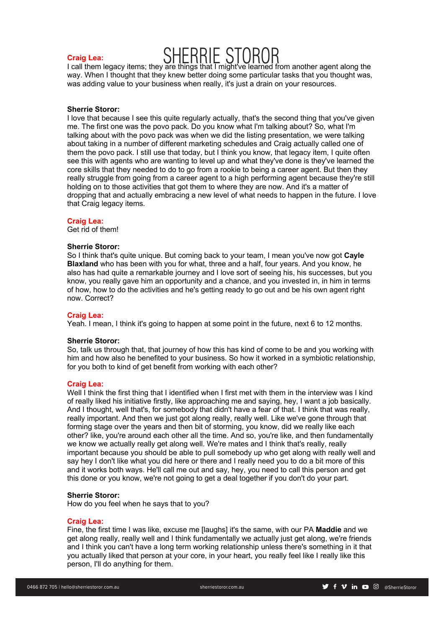# SHERRIE STOROR **Craig Lea:**

I call them legacy items; they are things that I might've learned from another agent along the way. When I thought that they knew better doing some particular tasks that you thought was, was adding value to your business when really, it's just a drain on your resources.

# **Sherrie Storor:**

I love that because I see this quite regularly actually, that's the second thing that you've given me. The first one was the povo pack. Do you know what I'm talking about? So, what I'm talking about with the povo pack was when we did the listing presentation, we were talking about taking in a number of different marketing schedules and Craig actually called one of them the povo pack. I still use that today, but I think you know, that legacy item, I quite often see this with agents who are wanting to level up and what they've done is they've learned the core skills that they needed to do to go from a rookie to being a career agent. But then they really struggle from going from a career agent to a high performing agent because they're still holding on to those activities that got them to where they are now. And it's a matter of dropping that and actually embracing a new level of what needs to happen in the future. I love that Craig legacy items.

#### **Craig Lea:**

Get rid of them!

#### **Sherrie Storor:**

So I think that's quite unique. But coming back to your team, I mean you've now got **Cayle Blaxland** who has been with you for what, three and a half, four years. And you know, he also has had quite a remarkable journey and I love sort of seeing his, his successes, but you know, you really gave him an opportunity and a chance, and you invested in, in him in terms of how, how to do the activities and he's getting ready to go out and be his own agent right now. Correct?

#### **Craig Lea:**

Yeah. I mean, I think it's going to happen at some point in the future, next 6 to 12 months.

#### **Sherrie Storor:**

So, talk us through that, that journey of how this has kind of come to be and you working with him and how also he benefited to your business. So how it worked in a symbiotic relationship, for you both to kind of get benefit from working with each other?

#### **Craig Lea:**

Well I think the first thing that I identified when I first met with them in the interview was I kind of really liked his initiative firstly, like approaching me and saying, hey, I want a job basically. And I thought, well that's, for somebody that didn't have a fear of that. I think that was really, really important. And then we just got along really, really well. Like we've gone through that forming stage over the years and then bit of storming, you know, did we really like each other? like, you're around each other all the time. And so, you're like, and then fundamentally we know we actually really get along well. We're mates and I think that's really, really important because you should be able to pull somebody up who get along with really well and say hey I don't like what you did here or there and I really need you to do a bit more of this and it works both ways. He'll call me out and say, hey, you need to call this person and get this done or you know, we're not going to get a deal together if you don't do your part.

#### **Sherrie Storor:**

How do you feel when he says that to you?

# **Craig Lea:**

Fine, the first time I was like, excuse me [laughs] it's the same, with our PA **Maddie** and we get along really, really well and I think fundamentally we actually just get along, we're friends and I think you can't have a long term working relationship unless there's something in it that you actually liked that person at your core, in your heart, you really feel like I really like this person, I'll do anything for them.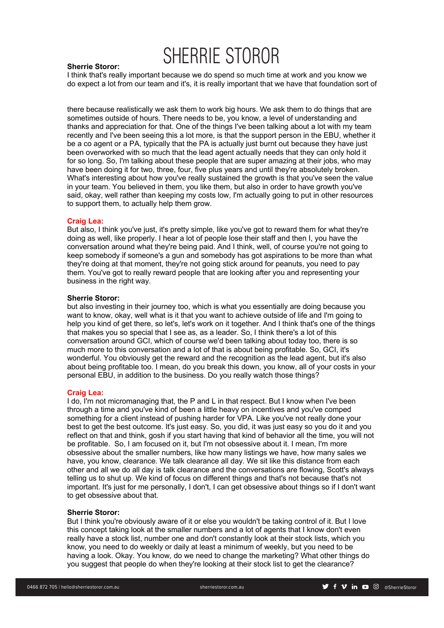# **Sherrie Storor:**

I think that's really important because we do spend so much time at work and you know we do expect a lot from our team and it's, it is really important that we have that foundation sort of

there because realistically we ask them to work big hours. We ask them to do things that are sometimes outside of hours. There needs to be, you know, a level of understanding and thanks and appreciation for that. One of the things I've been talking about a lot with my team recently and I've been seeing this a lot more, is that the support person in the EBU, whether it be a co agent or a PA, typically that the PA is actually just burnt out because they have just been overworked with so much that the lead agent actually needs that they can only hold it for so long. So, I'm talking about these people that are super amazing at their jobs, who may have been doing it for two, three, four, five plus years and until they're absolutely broken. What's interesting about how you've really sustained the growth is that you've seen the value in your team. You believed in them, you like them, but also in order to have growth you've said, okay, well rather than keeping my costs low, I'm actually going to put in other resources to support them, to actually help them grow.

# **Craig Lea:**

But also, I think you've just, it's pretty simple, like you've got to reward them for what they're doing as well, like properly. I hear a lot of people lose their staff and then I, you have the conversation around what they're being paid. And I think, well, of course you're not going to keep somebody if someone's a gun and somebody has got aspirations to be more than what they're doing at that moment, they're not going stick around for peanuts, you need to pay them. You've got to really reward people that are looking after you and representing your business in the right way.

# **Sherrie Storor:**

but also investing in their journey too, which is what you essentially are doing because you want to know, okay, well what is it that you want to achieve outside of life and I'm going to help you kind of get there, so let's, let's work on it together. And I think that's one of the things that makes you so special that I see as, as a leader. So, I think there's a lot of this conversation around GCI, which of course we'd been talking about today too, there is so much more to this conversation and a lot of that is about being profitable. So, GCI, it's wonderful. You obviously get the reward and the recognition as the lead agent, but it's also about being profitable too. I mean, do you break this down, you know, all of your costs in your personal EBU, in addition to the business. Do you really watch those things?

#### **Craig Lea:**

I do, I'm not micromanaging that, the P and L in that respect. But I know when I've been through a time and you've kind of been a little heavy on incentives and you've comped something for a client instead of pushing harder for VPA. Like you've not really done your best to get the best outcome. It's just easy. So, you did, it was just easy so you do it and you reflect on that and think, gosh if you start having that kind of behavior all the time, you will not be profitable. So, I am focused on it, but I'm not obsessive about it. I mean, I'm more obsessive about the smaller numbers, like how many listings we have, how many sales we have, you know, clearance. We talk clearance all day. We sit like this distance from each other and all we do all day is talk clearance and the conversations are flowing, Scott's always telling us to shut up. We kind of focus on different things and that's not because that's not important. It's just for me personally, I don't, I can get obsessive about things so if I don't want to get obsessive about that.

# **Sherrie Storor:**

But I think you're obviously aware of it or else you wouldn't be taking control of it. But I love this concept taking look at the smaller numbers and a lot of agents that I know don't even really have a stock list, number one and don't constantly look at their stock lists, which you know, you need to do weekly or daily at least a minimum of weekly, but you need to be having a look. Okay. You know, do we need to change the marketing? What other things do you suggest that people do when they're looking at their stock list to get the clearance?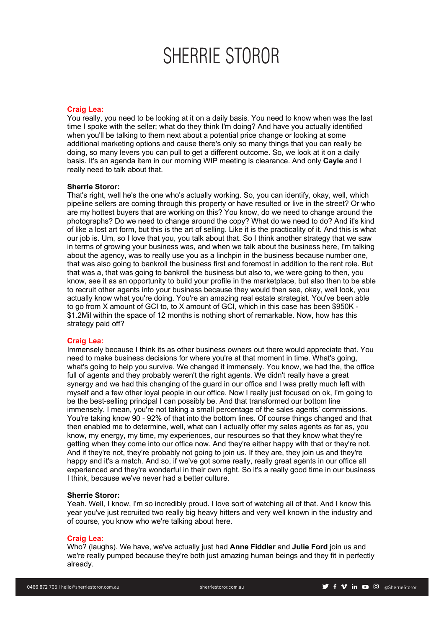# **Craig Lea:**

You really, you need to be looking at it on a daily basis. You need to know when was the last time I spoke with the seller; what do they think I'm doing? And have you actually identified when you'll be talking to them next about a potential price change or looking at some additional marketing options and cause there's only so many things that you can really be doing, so many levers you can pull to get a different outcome. So, we look at it on a daily basis. It's an agenda item in our morning WIP meeting is clearance. And only **Cayle** and I really need to talk about that.

#### **Sherrie Storor:**

That's right, well he's the one who's actually working. So, you can identify, okay, well, which pipeline sellers are coming through this property or have resulted or live in the street? Or who are my hottest buyers that are working on this? You know, do we need to change around the photographs? Do we need to change around the copy? What do we need to do? And it's kind of like a lost art form, but this is the art of selling. Like it is the practicality of it. And this is what our job is. Um, so I love that you, you talk about that. So I think another strategy that we saw in terms of growing your business was, and when we talk about the business here, I'm talking about the agency, was to really use you as a linchpin in the business because number one. that was also going to bankroll the business first and foremost in addition to the rent role. But that was a, that was going to bankroll the business but also to, we were going to then, you know, see it as an opportunity to build your profile in the marketplace, but also then to be able to recruit other agents into your business because they would then see, okay, well look, you actually know what you're doing. You're an amazing real estate strategist. You've been able to go from X amount of GCI to, to X amount of GCI, which in this case has been \$950K - \$1.2Mil within the space of 12 months is nothing short of remarkable. Now, how has this strategy paid off?

# **Craig Lea:**

Immensely because I think its as other business owners out there would appreciate that. You need to make business decisions for where you're at that moment in time. What's going, what's going to help you survive. We changed it immensely. You know, we had the, the office full of agents and they probably weren't the right agents. We didn't really have a great synergy and we had this changing of the guard in our office and I was pretty much left with myself and a few other loyal people in our office. Now I really just focused on ok, I'm going to be the best-selling principal I can possibly be. And that transformed our bottom line immensely. I mean, you're not taking a small percentage of the sales agents' commissions. You're taking know 90 - 92% of that into the bottom lines. Of course things changed and that then enabled me to determine, well, what can I actually offer my sales agents as far as, you know, my energy, my time, my experiences, our resources so that they know what they're getting when they come into our office now. And they're either happy with that or they're not. And if they're not, they're probably not going to join us. If they are, they join us and they're happy and it's a match. And so, if we've got some really, really great agents in our office all experienced and they're wonderful in their own right. So it's a really good time in our business I think, because we've never had a better culture.

#### **Sherrie Storor:**

Yeah. Well, I know, I'm so incredibly proud. I love sort of watching all of that. And I know this year you've just recruited two really big heavy hitters and very well known in the industry and of course, you know who we're talking about here.

#### **Craig Lea:**

Who? (laughs). We have, we've actually just had **Anne Fiddler** and **Julie Ford** join us and we're really pumped because they're both just amazing human beings and they fit in perfectly already.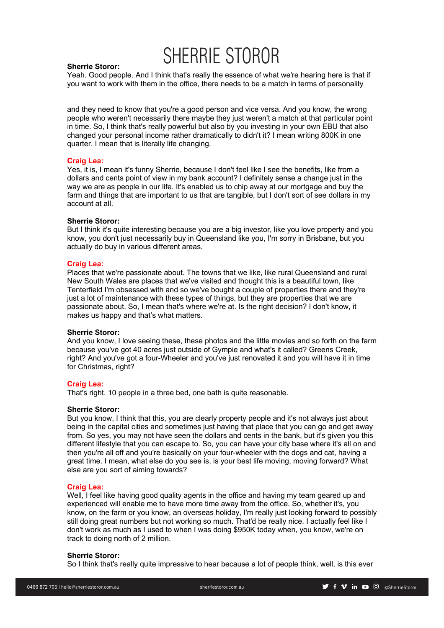

# **Sherrie Storor:**

Yeah. Good people. And I think that's really the essence of what we're hearing here is that if you want to work with them in the office, there needs to be a match in terms of personality

and they need to know that you're a good person and vice versa. And you know, the wrong people who weren't necessarily there maybe they just weren't a match at that particular point in time. So, I think that's really powerful but also by you investing in your own EBU that also changed your personal income rather dramatically to didn't it? I mean writing 800K in one quarter. I mean that is literally life changing.

# **Craig Lea:**

Yes, it is, I mean it's funny Sherrie, because I don't feel like I see the benefits, like from a dollars and cents point of view in my bank account? I definitely sense a change just in the way we are as people in our life. It's enabled us to chip away at our mortgage and buy the farm and things that are important to us that are tangible, but I don't sort of see dollars in my account at all.

# **Sherrie Storor:**

But I think it's quite interesting because you are a big investor, like you love property and you know, you don't just necessarily buy in Queensland like you, I'm sorry in Brisbane, but you actually do buy in various different areas.

# **Craig Lea:**

Places that we're passionate about. The towns that we like, like rural Queensland and rural New South Wales are places that we've visited and thought this is a beautiful town, like Tenterfield I'm obsessed with and so we've bought a couple of properties there and they're just a lot of maintenance with these types of things, but they are properties that we are passionate about. So, I mean that's where we're at. Is the right decision? I don't know, it makes us happy and that's what matters.

#### **Sherrie Storor:**

And you know, I love seeing these, these photos and the little movies and so forth on the farm because you've got 40 acres just outside of Gympie and what's it called? Greens Creek, right? And you've got a four-Wheeler and you've just renovated it and you will have it in time for Christmas, right?

# **Craig Lea:**

That's right. 10 people in a three bed, one bath is quite reasonable.

# **Sherrie Storor:**

But you know, I think that this, you are clearly property people and it's not always just about being in the capital cities and sometimes just having that place that you can go and get away from. So yes, you may not have seen the dollars and cents in the bank, but it's given you this different lifestyle that you can escape to. So, you can have your city base where it's all on and then you're all off and you're basically on your four-wheeler with the dogs and cat, having a great time. I mean, what else do you see is, is your best life moving, moving forward? What else are you sort of aiming towards?

# **Craig Lea:**

Well, I feel like having good quality agents in the office and having my team geared up and experienced will enable me to have more time away from the office. So, whether it's, you know, on the farm or you know, an overseas holiday, I'm really just looking forward to possibly still doing great numbers but not working so much. That'd be really nice. I actually feel like I don't work as much as I used to when I was doing \$950K today when, you know, we're on track to doing north of 2 million.

# **Sherrie Storor:**

So I think that's really quite impressive to hear because a lot of people think, well, is this ever